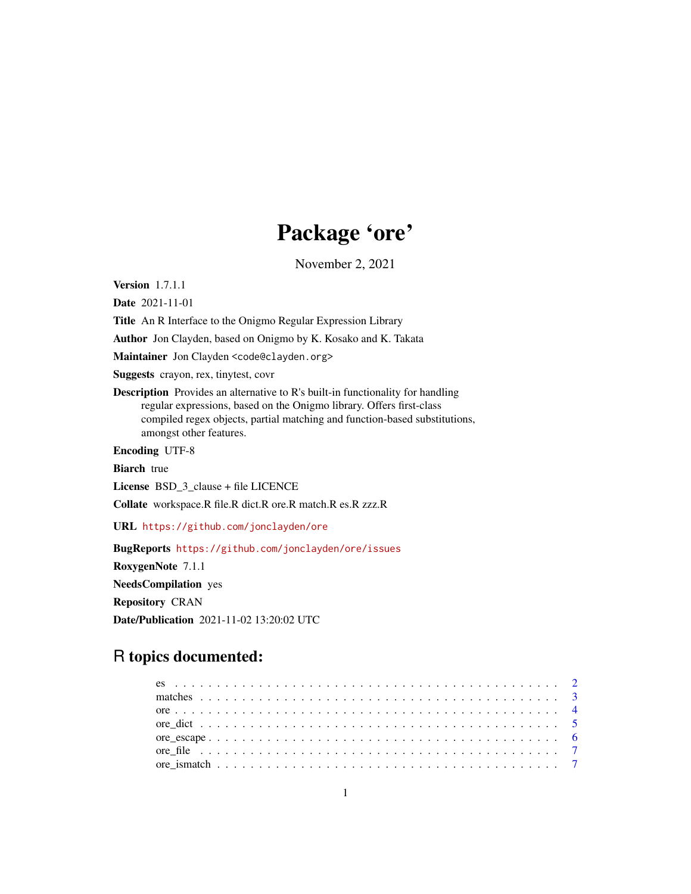# Package 'ore'

November 2, 2021

<span id="page-0-0"></span>Version 1.7.1.1

Date 2021-11-01

Title An R Interface to the Onigmo Regular Expression Library

Author Jon Clayden, based on Onigmo by K. Kosako and K. Takata

Maintainer Jon Clayden <code@clayden.org>

Suggests crayon, rex, tinytest, covr

Description Provides an alternative to R's built-in functionality for handling regular expressions, based on the Onigmo library. Offers first-class compiled regex objects, partial matching and function-based substitutions, amongst other features.

Encoding UTF-8

**Biarch** true

License BSD 3 clause + file LICENCE

Collate workspace.R file.R dict.R ore.R match.R es.R zzz.R

URL <https://github.com/jonclayden/ore>

BugReports <https://github.com/jonclayden/ore/issues> RoxygenNote 7.1.1 NeedsCompilation yes Repository CRAN Date/Publication 2021-11-02 13:20:02 UTC

# R topics documented: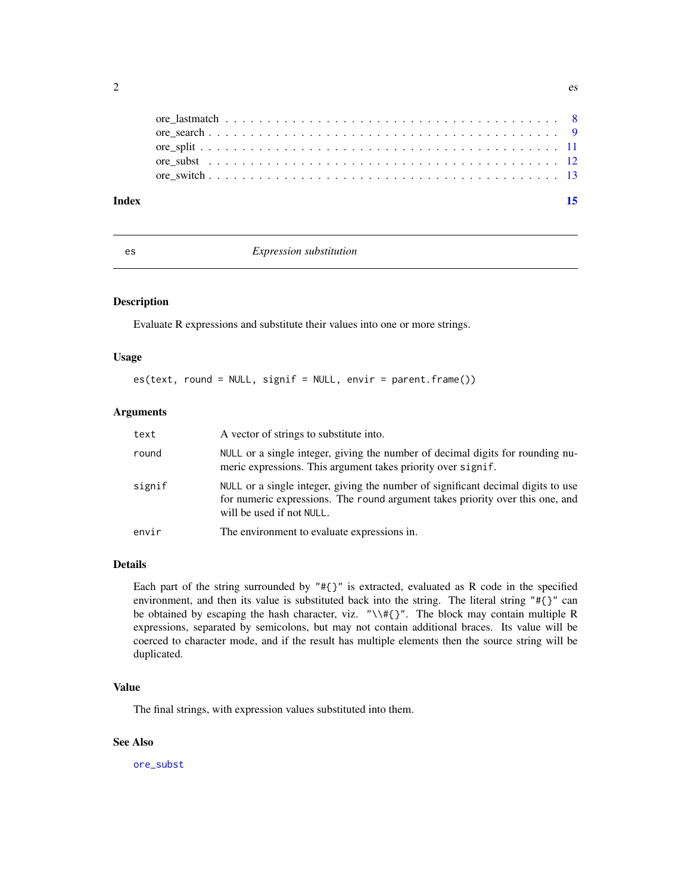<span id="page-1-0"></span>

| Index |  |  |  |  |  |  |  |  |  |  |  |  |  |  |  |  |
|-------|--|--|--|--|--|--|--|--|--|--|--|--|--|--|--|--|
|       |  |  |  |  |  |  |  |  |  |  |  |  |  |  |  |  |
|       |  |  |  |  |  |  |  |  |  |  |  |  |  |  |  |  |
|       |  |  |  |  |  |  |  |  |  |  |  |  |  |  |  |  |
|       |  |  |  |  |  |  |  |  |  |  |  |  |  |  |  |  |
|       |  |  |  |  |  |  |  |  |  |  |  |  |  |  |  |  |

#### es *Expression substitution*

#### Description

Evaluate R expressions and substitute their values into one or more strings.

#### Usage

es(text, round = NULL, signif = NULL, envir = parent.frame())

# Arguments

| text   | A vector of strings to substitute into.                                                                                                                                                        |
|--------|------------------------------------------------------------------------------------------------------------------------------------------------------------------------------------------------|
| round  | NULL or a single integer, giving the number of decimal digits for rounding nu-<br>meric expressions. This argument takes priority over signif.                                                 |
| signif | NULL or a single integer, giving the number of significant decimal digits to use<br>for numeric expressions. The round argument takes priority over this one, and<br>will be used if not NULL. |
| envir  | The environment to evaluate expressions in.                                                                                                                                                    |

### Details

Each part of the string surrounded by "#{}" is extracted, evaluated as R code in the specified environment, and then its value is substituted back into the string. The literal string "#{}" can be obtained by escaping the hash character, viz. "\\#{}". The block may contain multiple R expressions, separated by semicolons, but may not contain additional braces. Its value will be coerced to character mode, and if the result has multiple elements then the source string will be duplicated.

#### Value

The final strings, with expression values substituted into them.

#### See Also

[ore\\_subst](#page-11-1)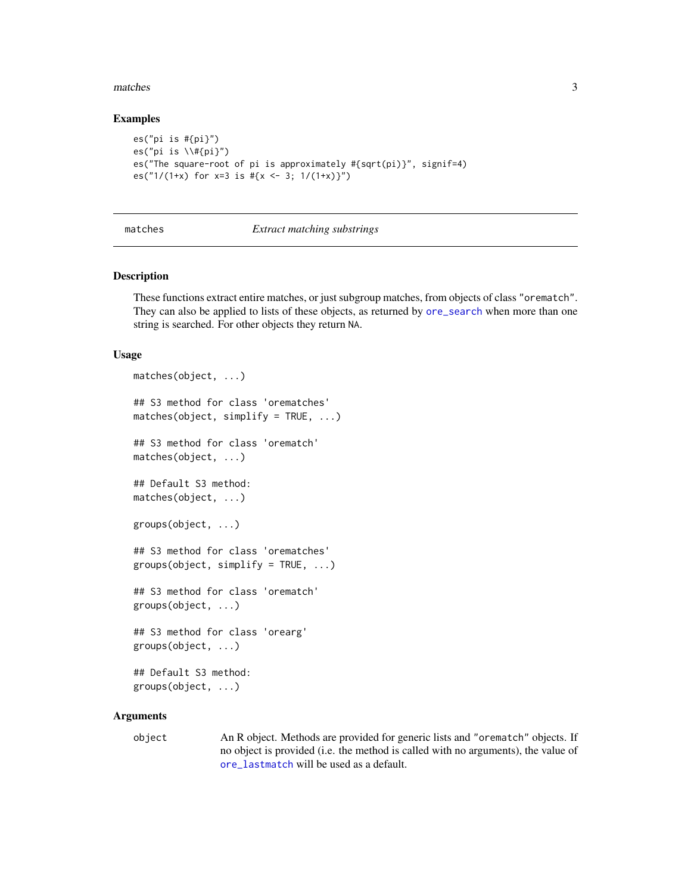#### <span id="page-2-0"></span>matches 3

#### Examples

```
es("pi is #{pi}")
es("pi is \\{ \mu\}')
es("The square-root of pi is approximately #{sqrt(pi)}", signif=4)
es("1/(1+x) for x=3 is \#{x \leftarrow 3; 1/(1+x)}")
```
#### <span id="page-2-1"></span>matches *Extract matching substrings*

#### <span id="page-2-2"></span>Description

These functions extract entire matches, or just subgroup matches, from objects of class "orematch". They can also be applied to lists of these objects, as returned by [ore\\_search](#page-8-1) when more than one string is searched. For other objects they return NA.

#### Usage

```
matches(object, ...)
## S3 method for class 'orematches'
matches(object, simplify = TRUE, ...)## S3 method for class 'orematch'
matches(object, ...)
## Default S3 method:
matches(object, ...)
groups(object, ...)
## S3 method for class 'orematches'
groups(object, simplify = TRUE, ...)## S3 method for class 'orematch'
groups(object, ...)
## S3 method for class 'orearg'
groups(object, ...)
## Default S3 method:
groups(object, ...)
```
#### **Arguments**

object An R object. Methods are provided for generic lists and "orematch" objects. If no object is provided (i.e. the method is called with no arguments), the value of [ore\\_lastmatch](#page-7-1) will be used as a default.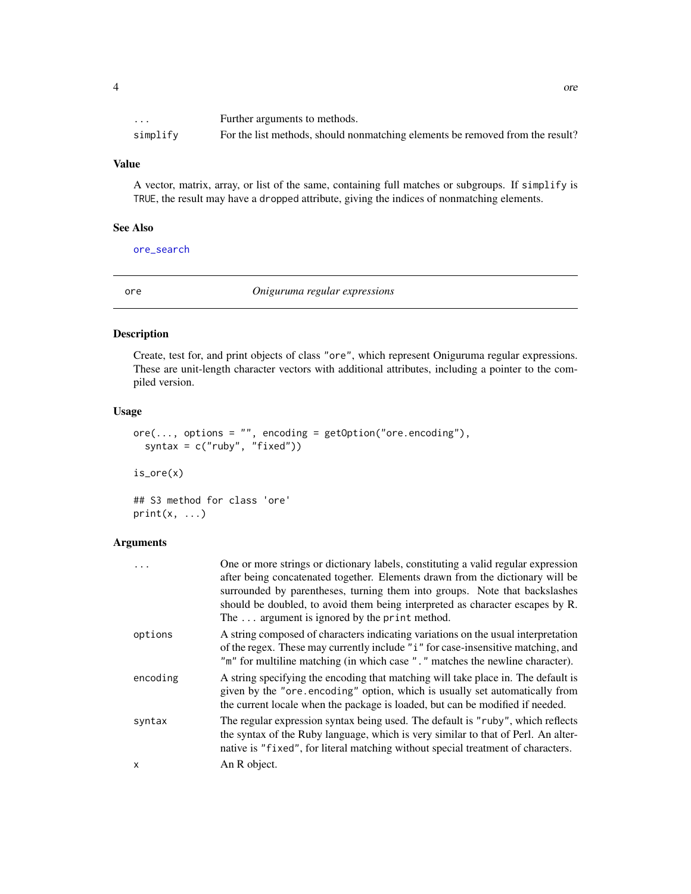<span id="page-3-0"></span>

| $\cdot$  | Further arguments to methods.                                                 |
|----------|-------------------------------------------------------------------------------|
| simplify | For the list methods, should nonmatching elements be removed from the result? |

A vector, matrix, array, or list of the same, containing full matches or subgroups. If simplify is TRUE, the result may have a dropped attribute, giving the indices of nonmatching elements.

#### See Also

[ore\\_search](#page-8-1)

<span id="page-3-1"></span>ore *Oniguruma regular expressions*

# Description

Create, test for, and print objects of class "ore", which represent Oniguruma regular expressions. These are unit-length character vectors with additional attributes, including a pointer to the compiled version.

#### Usage

```
ore(..., options = "", encoding = getOption("ore.encoding"),syntax = c("ruby", "fixed")
```
is\_ore(x)

## S3 method for class 'ore'  $print(x, \ldots)$ 

| $\ddots$ | One or more strings or dictionary labels, constituting a valid regular expression<br>after being concatenated together. Elements drawn from the dictionary will be<br>surrounded by parentheses, turning them into groups. Note that backslashes<br>should be doubled, to avoid them being interpreted as character escapes by R.<br>The $\ldots$ argument is ignored by the print method. |
|----------|--------------------------------------------------------------------------------------------------------------------------------------------------------------------------------------------------------------------------------------------------------------------------------------------------------------------------------------------------------------------------------------------|
| options  | A string composed of characters indicating variations on the usual interpretation<br>of the regex. These may currently include "i" for case-insensitive matching, and<br>"m" for multiline matching (in which case "." matches the newline character).                                                                                                                                     |
| encoding | A string specifying the encoding that matching will take place in. The default is<br>given by the "ore encoding" option, which is usually set automatically from<br>the current locale when the package is loaded, but can be modified if needed.                                                                                                                                          |
| syntax   | The regular expression syntax being used. The default is "ruby", which reflects<br>the syntax of the Ruby language, which is very similar to that of Perl. An alter-<br>native is "fixed", for literal matching without special treatment of characters.                                                                                                                                   |
| x        | An R object.                                                                                                                                                                                                                                                                                                                                                                               |
|          |                                                                                                                                                                                                                                                                                                                                                                                            |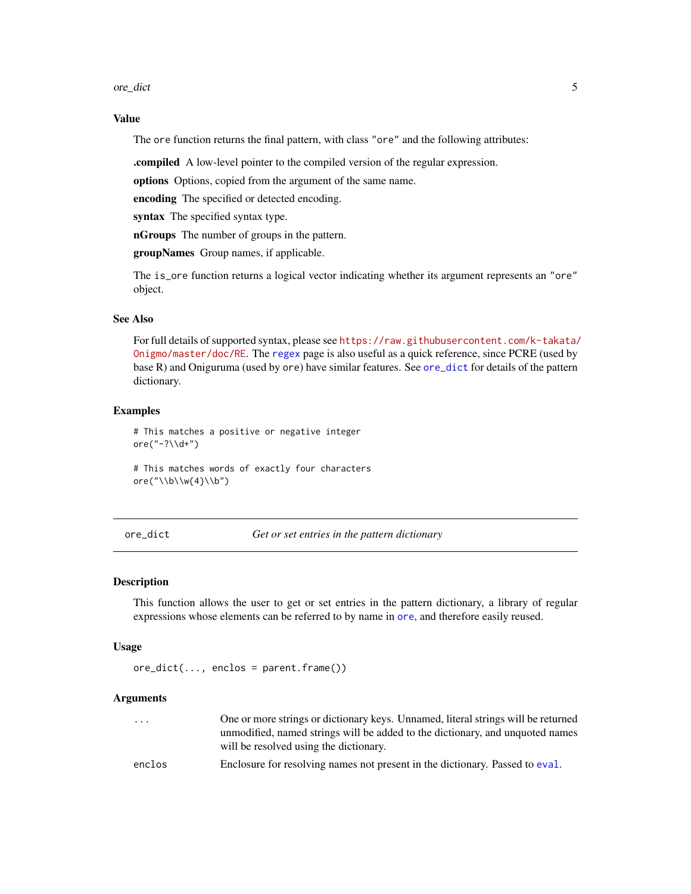<span id="page-4-0"></span>ore\_dict 5

### Value

The ore function returns the final pattern, with class "ore" and the following attributes:

.compiled A low-level pointer to the compiled version of the regular expression.

options Options, copied from the argument of the same name.

encoding The specified or detected encoding.

syntax The specified syntax type.

nGroups The number of groups in the pattern.

groupNames Group names, if applicable.

The is\_ore function returns a logical vector indicating whether its argument represents an "ore" object.

#### See Also

For full details of supported syntax, please see [https://raw.githubusercontent.com/k-takata/](https://raw.githubusercontent.com/k-takata/Onigmo/master/doc/RE) [Onigmo/master/doc/RE](https://raw.githubusercontent.com/k-takata/Onigmo/master/doc/RE). The [regex](#page-0-0) page is also useful as a quick reference, since PCRE (used by base R) and Oniguruma (used by ore) have similar features. See [ore\\_dict](#page-4-1) for details of the pattern dictionary.

#### Examples

# This matches a positive or negative integer ore("-?\\d+")

# This matches words of exactly four characters ore("\\b\\w{4}\\b")

<span id="page-4-1"></span>ore\_dict *Get or set entries in the pattern dictionary*

#### Description

This function allows the user to get or set entries in the pattern dictionary, a library of regular expressions whose elements can be referred to by name in [ore](#page-3-1), and therefore easily reused.

#### Usage

```
ore_dict(..., enclos = parent.frame())
```

| $\cdot$ $\cdot$ $\cdot$ | One or more strings or dictionary keys. Unnamed, literal strings will be returned |
|-------------------------|-----------------------------------------------------------------------------------|
|                         | unmodified, named strings will be added to the dictionary, and unquoted names     |
|                         | will be resolved using the dictionary.                                            |
| enclos                  | Enclosure for resolving names not present in the dictionary. Passed to eval.      |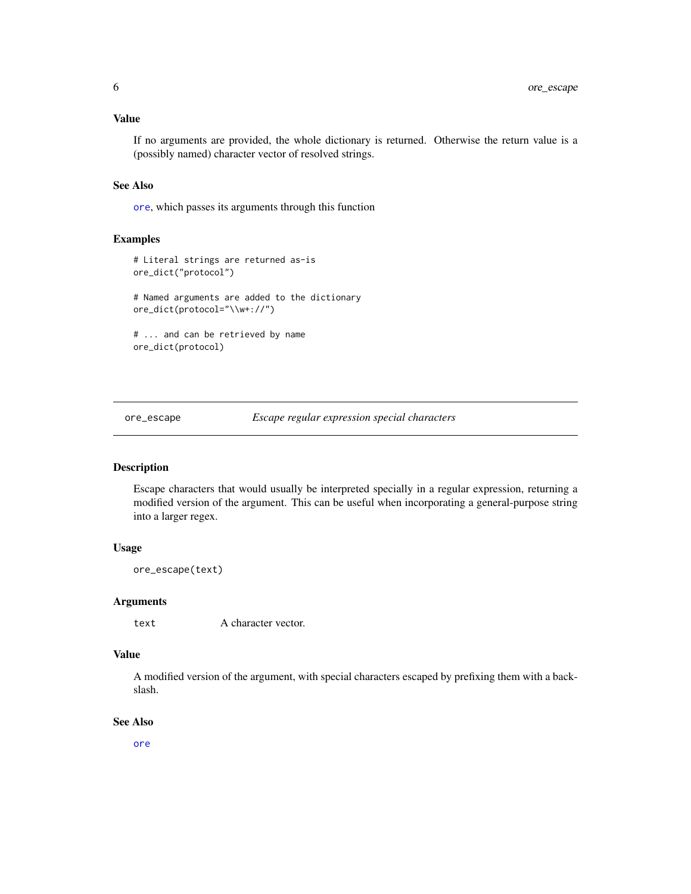<span id="page-5-0"></span>If no arguments are provided, the whole dictionary is returned. Otherwise the return value is a (possibly named) character vector of resolved strings.

### See Also

[ore](#page-3-1), which passes its arguments through this function

#### Examples

```
# Literal strings are returned as-is
ore_dict("protocol")
# Named arguments are added to the dictionary
ore_dict(protocol="\\w+://")
# ... and can be retrieved by name
ore_dict(protocol)
```
ore\_escape *Escape regular expression special characters*

### Description

Escape characters that would usually be interpreted specially in a regular expression, returning a modified version of the argument. This can be useful when incorporating a general-purpose string into a larger regex.

#### Usage

ore\_escape(text)

#### Arguments

text A character vector.

#### Value

A modified version of the argument, with special characters escaped by prefixing them with a backslash.

## See Also

[ore](#page-3-1)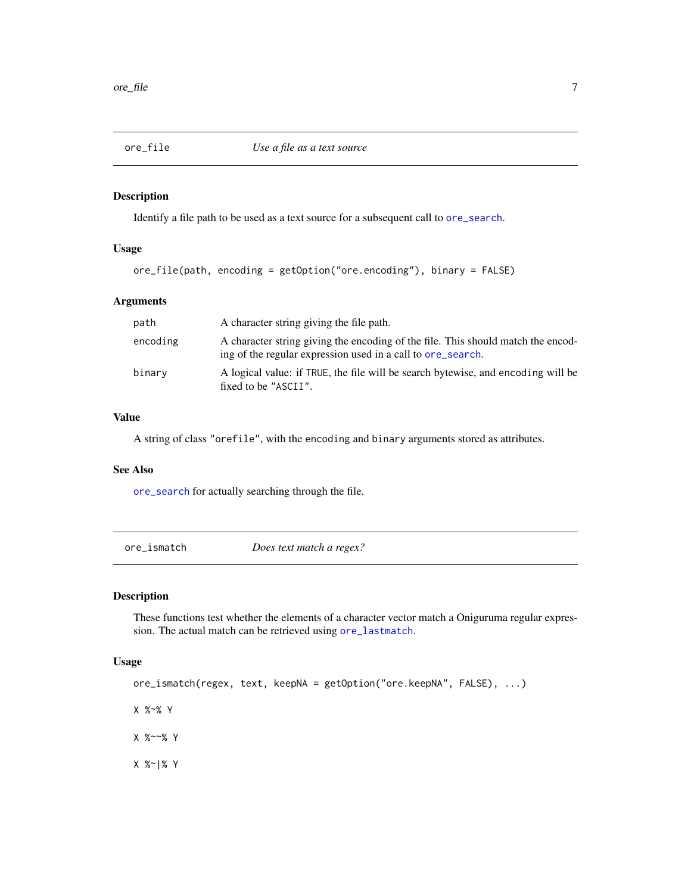<span id="page-6-1"></span><span id="page-6-0"></span>

# Description

Identify a file path to be used as a text source for a subsequent call to [ore\\_search](#page-8-1).

# Usage

```
ore_file(path, encoding = getOption("ore.encoding"), binary = FALSE)
```
# Arguments

| path     | A character string giving the file path.                                                                                                        |
|----------|-------------------------------------------------------------------------------------------------------------------------------------------------|
| encoding | A character string giving the encoding of the file. This should match the encod-<br>ing of the regular expression used in a call to ore_search. |
| binary   | A logical value: if TRUE, the file will be search bytewise, and encoding will be<br>fixed to be "ASCII".                                        |

# Value

A string of class "orefile", with the encoding and binary arguments stored as attributes.

### See Also

[ore\\_search](#page-8-1) for actually searching through the file.

| ore ismatch | Does text match a regex? |  |
|-------------|--------------------------|--|
|-------------|--------------------------|--|

# Description

These functions test whether the elements of a character vector match a Oniguruma regular expression. The actual match can be retrieved using [ore\\_lastmatch](#page-7-1).

#### Usage

```
ore_ismatch(regex, text, keepNA = getOption("ore.keepNA", FALSE), ...)
X %~% Y
X %~~% Y
```
X %~|% Y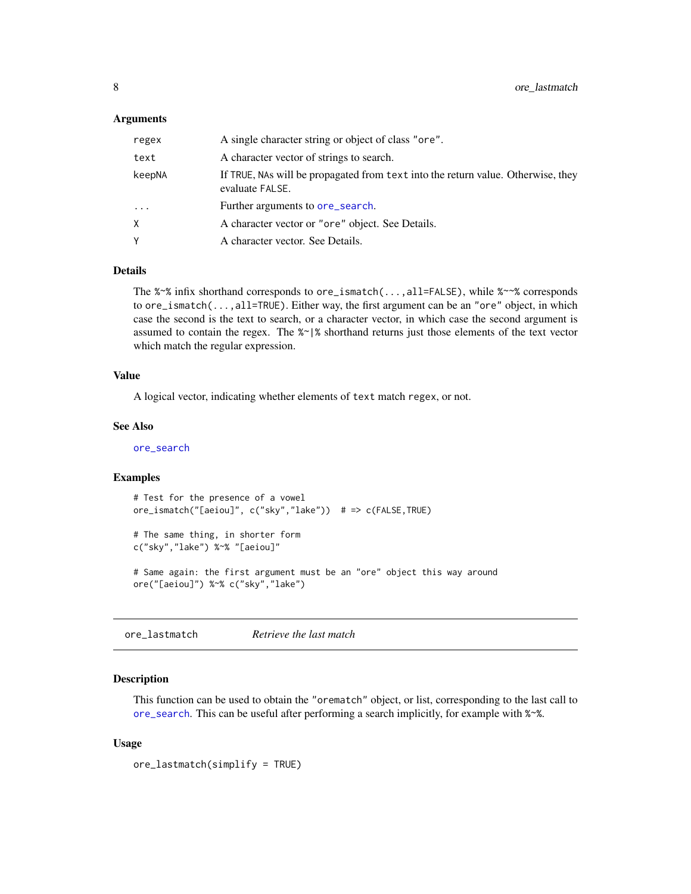#### <span id="page-7-0"></span>**Arguments**

| regex    | A single character string or object of class "ore".                                                 |
|----------|-----------------------------------------------------------------------------------------------------|
| text     | A character vector of strings to search.                                                            |
| keepNA   | If TRUE, NAs will be propagated from text into the return value. Otherwise, they<br>evaluate FALSE. |
| $\cdots$ | Further arguments to ore_search.                                                                    |
| X.       | A character vector or "ore" object. See Details.                                                    |
| γ        | A character vector. See Details.                                                                    |

#### Details

The %~% infix shorthand corresponds to ore\_ismatch(...,all=FALSE), while %~~% corresponds to ore\_ismatch(...,all=TRUE). Either way, the first argument can be an "ore" object, in which case the second is the text to search, or a character vector, in which case the second argument is assumed to contain the regex. The %~|% shorthand returns just those elements of the text vector which match the regular expression.

#### Value

A logical vector, indicating whether elements of text match regex, or not.

#### See Also

[ore\\_search](#page-8-1)

# Examples

```
# Test for the presence of a vowel
ore_ismatch("[aeiou]", c("sky","lake")) # => c(FALSE,TRUE)
```

```
# The same thing, in shorter form
c("sky","lake") %~% "[aeiou]"
```

```
# Same again: the first argument must be an "ore" object this way around
ore("[aeiou]") %~% c("sky","lake")
```
<span id="page-7-1"></span>ore\_lastmatch *Retrieve the last match*

#### **Description**

This function can be used to obtain the "orematch" object, or list, corresponding to the last call to [ore\\_search](#page-8-1). This can be useful after performing a search implicitly, for example with %~%.

#### Usage

```
ore_lastmatch(simplify = TRUE)
```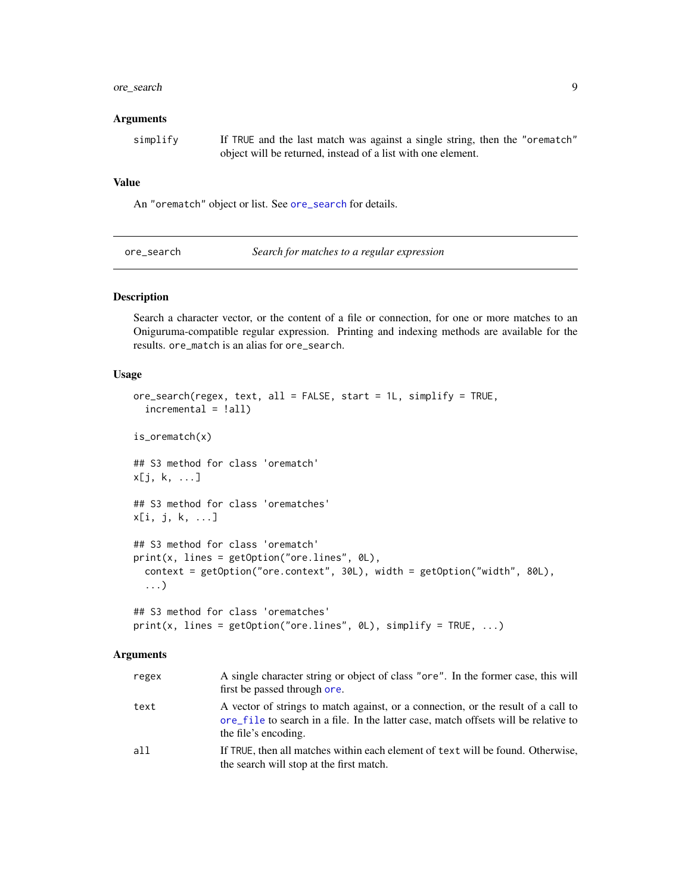# <span id="page-8-0"></span>ore\_search 9

#### **Arguments**

simplify If TRUE and the last match was against a single string, then the "orematch" object will be returned, instead of a list with one element.

#### Value

An "orematch" object or list. See [ore\\_search](#page-8-1) for details.

<span id="page-8-1"></span>

#### Description

Search a character vector, or the content of a file or connection, for one or more matches to an Oniguruma-compatible regular expression. Printing and indexing methods are available for the results. ore\_match is an alias for ore\_search.

#### Usage

```
ore_search(regex, text, all = FALSE, start = 1L, simplify = TRUE,
  incremental = !all)
is_orematch(x)
## S3 method for class 'orematch'
x[j, k, ...]
## S3 method for class 'orematches'
x[i, j, k, ...]
## S3 method for class 'orematch'
print(x, lines = getOption("ore.lines", 0L),
  context = getOption("ore.context", 30L), width = getOption("width", 80L),
  ...)
## S3 method for class 'orematches'
print(x, lines = getOption("ore.lines", 0L), simplify = TRUE, ...)
```

| regex | A single character string or object of class "ore". In the former case, this will<br>first be passed through ore.                                                                                |
|-------|--------------------------------------------------------------------------------------------------------------------------------------------------------------------------------------------------|
| text  | A vector of strings to match against, or a connection, or the result of a call to<br>ore file to search in a file. In the latter case, match offsets will be relative to<br>the file's encoding. |
| all   | If TRUE, then all matches within each element of text will be found. Otherwise,<br>the search will stop at the first match.                                                                      |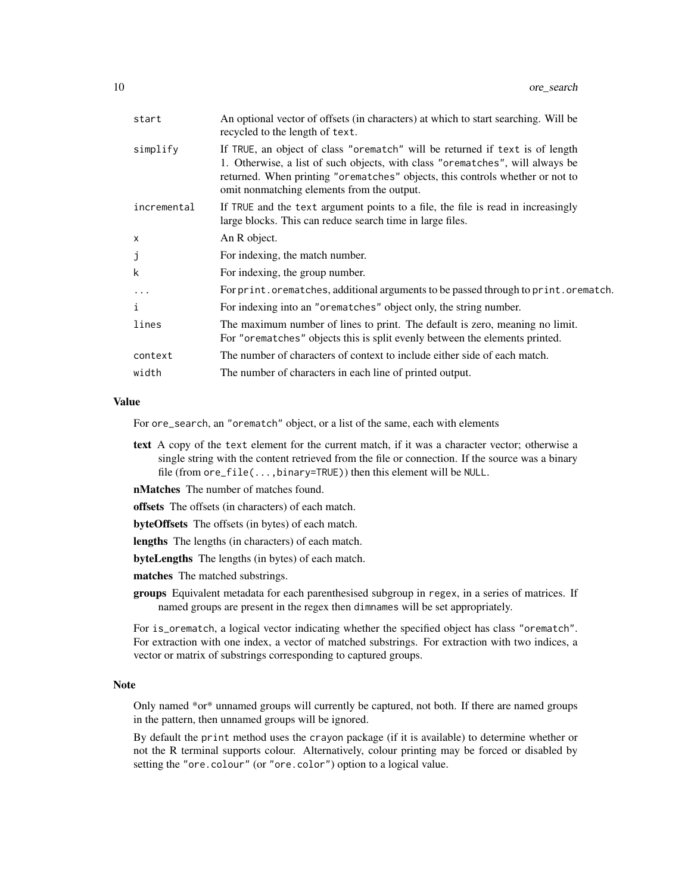| start       | An optional vector of offsets (in characters) at which to start searching. Will be<br>recycled to the length of text.                                                                                                                                                                        |
|-------------|----------------------------------------------------------------------------------------------------------------------------------------------------------------------------------------------------------------------------------------------------------------------------------------------|
| simplify    | If TRUE, an object of class "orematch" will be returned if text is of length<br>1. Otherwise, a list of such objects, with class "orematches", will always be<br>returned. When printing "orematches" objects, this controls whether or not to<br>omit nonmatching elements from the output. |
| incremental | If TRUE and the text argument points to a file, the file is read in increasingly<br>large blocks. This can reduce search time in large files.                                                                                                                                                |
| X           | An R object.                                                                                                                                                                                                                                                                                 |
| j           | For indexing, the match number.                                                                                                                                                                                                                                                              |
| k           | For indexing, the group number.                                                                                                                                                                                                                                                              |
| $\ddots$ .  | For print.orematches, additional arguments to be passed through to print.orematch.                                                                                                                                                                                                           |
| i           | For indexing into an "orematches" object only, the string number.                                                                                                                                                                                                                            |
| lines       | The maximum number of lines to print. The default is zero, meaning no limit.<br>For "orematches" objects this is split evenly between the elements printed.                                                                                                                                  |
| context     | The number of characters of context to include either side of each match.                                                                                                                                                                                                                    |
| width       | The number of characters in each line of printed output.                                                                                                                                                                                                                                     |
|             |                                                                                                                                                                                                                                                                                              |

For ore\_search, an "orematch" object, or a list of the same, each with elements

- text A copy of the text element for the current match, if it was a character vector; otherwise a single string with the content retrieved from the file or connection. If the source was a binary file (from ore\_file(...,binary=TRUE)) then this element will be NULL.
- nMatches The number of matches found.
- offsets The offsets (in characters) of each match.
- byteOffsets The offsets (in bytes) of each match.
- lengths The lengths (in characters) of each match.
- byteLengths The lengths (in bytes) of each match.
- matches The matched substrings.
- groups Equivalent metadata for each parenthesised subgroup in regex, in a series of matrices. If named groups are present in the regex then dimnames will be set appropriately.

For is\_orematch, a logical vector indicating whether the specified object has class "orematch". For extraction with one index, a vector of matched substrings. For extraction with two indices, a vector or matrix of substrings corresponding to captured groups.

#### Note

Only named \*or\* unnamed groups will currently be captured, not both. If there are named groups in the pattern, then unnamed groups will be ignored.

By default the print method uses the crayon package (if it is available) to determine whether or not the R terminal supports colour. Alternatively, colour printing may be forced or disabled by setting the "ore.colour" (or "ore.color") option to a logical value.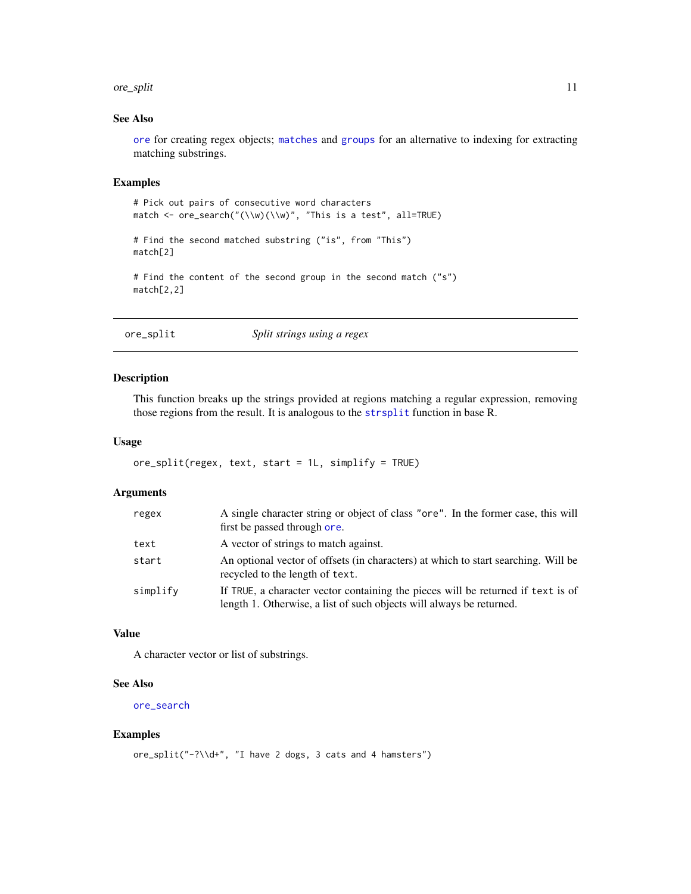#### <span id="page-10-0"></span>ore\_split 11

# See Also

[ore](#page-3-1) for creating regex objects; [matches](#page-2-1) and [groups](#page-2-2) for an alternative to indexing for extracting matching substrings.

### Examples

```
# Pick out pairs of consecutive word characters
match <- ore_search("(\\w)(\\w)", "This is a test", all=TRUE)
# Find the second matched substring ("is", from "This")
match[2]
# Find the content of the second group in the second match ("s")
match[2,2]
```
# ore\_split *Split strings using a regex*

#### Description

This function breaks up the strings provided at regions matching a regular expression, removing those regions from the result. It is analogous to the [strsplit](#page-0-0) function in base R.

### Usage

```
ore_split(regex, text, start = 1L, simplify = TRUE)
```
# Arguments

| regex    | A single character string or object of class "ore". In the former case, this will<br>first be passed through ore.                                        |
|----------|----------------------------------------------------------------------------------------------------------------------------------------------------------|
| text     | A vector of strings to match against.                                                                                                                    |
| start    | An optional vector of offsets (in characters) at which to start searching. Will be<br>recycled to the length of text.                                    |
| simplify | If TRUE, a character vector containing the pieces will be returned if text is of<br>length 1. Otherwise, a list of such objects will always be returned. |

# Value

A character vector or list of substrings.

#### See Also

[ore\\_search](#page-8-1)

#### Examples

```
ore_split("-?\\d+", "I have 2 dogs, 3 cats and 4 hamsters")
```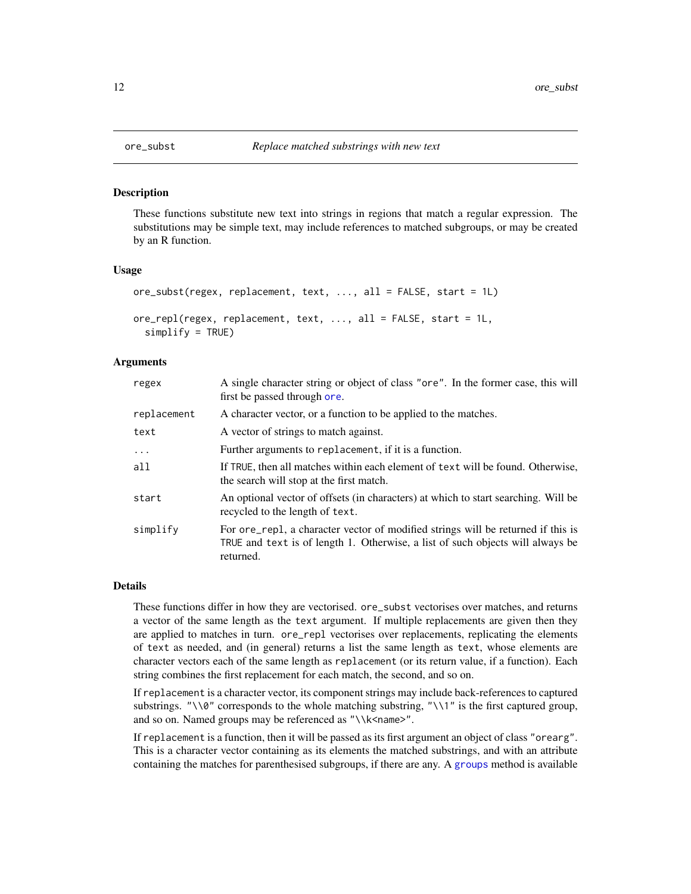#### Description

These functions substitute new text into strings in regions that match a regular expression. The substitutions may be simple text, may include references to matched subgroups, or may be created by an R function.

#### Usage

```
ore_subst(regex, replacement, text, ..., all = FALSE, start = 1L)
ore_repl(regex, replacement, text, ..., all = FALSE, start = 1L,
  simplify = TRUE)
```
# Arguments

| regex       | A single character string or object of class "ore". In the former case, this will<br>first be passed through ore.                                                               |
|-------------|---------------------------------------------------------------------------------------------------------------------------------------------------------------------------------|
| replacement | A character vector, or a function to be applied to the matches.                                                                                                                 |
| text        | A vector of strings to match against.                                                                                                                                           |
| $\ddots$ .  | Further arguments to replacement, if it is a function.                                                                                                                          |
| a11         | If TRUE, then all matches within each element of text will be found. Otherwise,<br>the search will stop at the first match.                                                     |
| start       | An optional vector of offsets (in characters) at which to start searching. Will be<br>recycled to the length of text.                                                           |
| simplify    | For ore_rep1, a character vector of modified strings will be returned if this is<br>TRUE and text is of length 1. Otherwise, a list of such objects will always be<br>returned. |

#### Details

These functions differ in how they are vectorised. ore\_subst vectorises over matches, and returns a vector of the same length as the text argument. If multiple replacements are given then they are applied to matches in turn. ore\_repl vectorises over replacements, replicating the elements of text as needed, and (in general) returns a list the same length as text, whose elements are character vectors each of the same length as replacement (or its return value, if a function). Each string combines the first replacement for each match, the second, and so on.

If replacement is a character vector, its component strings may include back-references to captured substrings. " $\sqrt{8}$ " corresponds to the whole matching substring, " $\sqrt{1}$ " is the first captured group, and so on. Named groups may be referenced as "\\k<name>".

If replacement is a function, then it will be passed as its first argument an object of class "orearg". This is a character vector containing as its elements the matched substrings, and with an attribute containing the matches for parenthesised subgroups, if there are any. A [groups](#page-2-2) method is available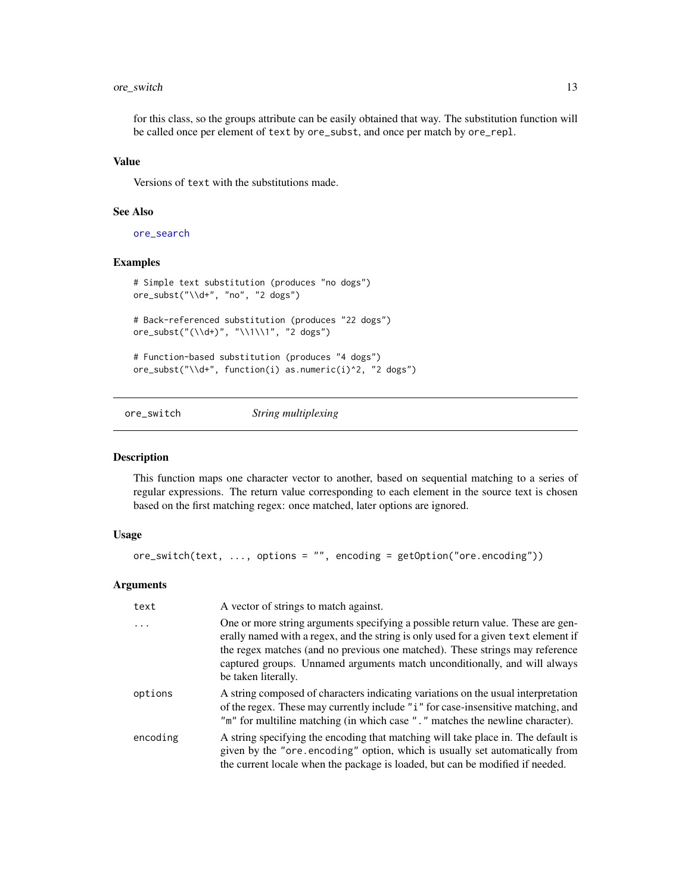# <span id="page-12-0"></span>ore\_switch 13

for this class, so the groups attribute can be easily obtained that way. The substitution function will be called once per element of text by ore\_subst, and once per match by ore\_repl.

#### Value

Versions of text with the substitutions made.

# See Also

[ore\\_search](#page-8-1)

#### Examples

```
# Simple text substitution (produces "no dogs")
ore_subst("\\d+", "no", "2 dogs")
# Back-referenced substitution (produces "22 dogs")
ore_subst("(\\d+)", "\\1\\1", "2 dogs")
# Function-based substitution (produces "4 dogs")
ore_subst("\\d+", function(i) as.numeric(i)^2, "2 dogs")
```
ore\_switch *String multiplexing*

#### Description

This function maps one character vector to another, based on sequential matching to a series of regular expressions. The return value corresponding to each element in the source text is chosen based on the first matching regex: once matched, later options are ignored.

# Usage

```
ore_switch(text, ..., options = "", encoding = getOption("ore.encoding"))
```

| text     | A vector of strings to match against.                                                                                                                                                                                                                                                                                                                     |
|----------|-----------------------------------------------------------------------------------------------------------------------------------------------------------------------------------------------------------------------------------------------------------------------------------------------------------------------------------------------------------|
| $\cdots$ | One or more string arguments specifying a possible return value. These are gen-<br>erally named with a regex, and the string is only used for a given text element if<br>the regex matches (and no previous one matched). These strings may reference<br>captured groups. Unnamed arguments match unconditionally, and will always<br>be taken literally. |
| options  | A string composed of characters indicating variations on the usual interpretation<br>of the regex. These may currently include "i" for case-insensitive matching, and<br>"m" for multiline matching (in which case "." matches the newline character).                                                                                                    |
| encoding | A string specifying the encoding that matching will take place in. The default is<br>given by the "ore encoding" option, which is usually set automatically from<br>the current locale when the package is loaded, but can be modified if needed.                                                                                                         |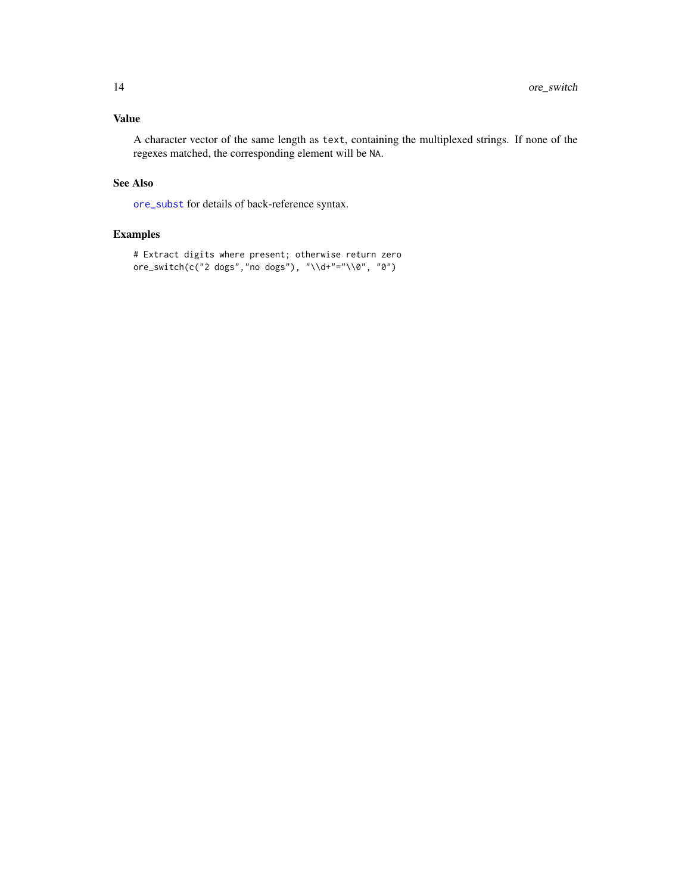<span id="page-13-0"></span>A character vector of the same length as text, containing the multiplexed strings. If none of the regexes matched, the corresponding element will be NA.

# See Also

[ore\\_subst](#page-11-1) for details of back-reference syntax.

# Examples

```
# Extract digits where present; otherwise return zero
ore_switch(c("2 dogs","no dogs"), "\\d+"="\\0", "0")
```